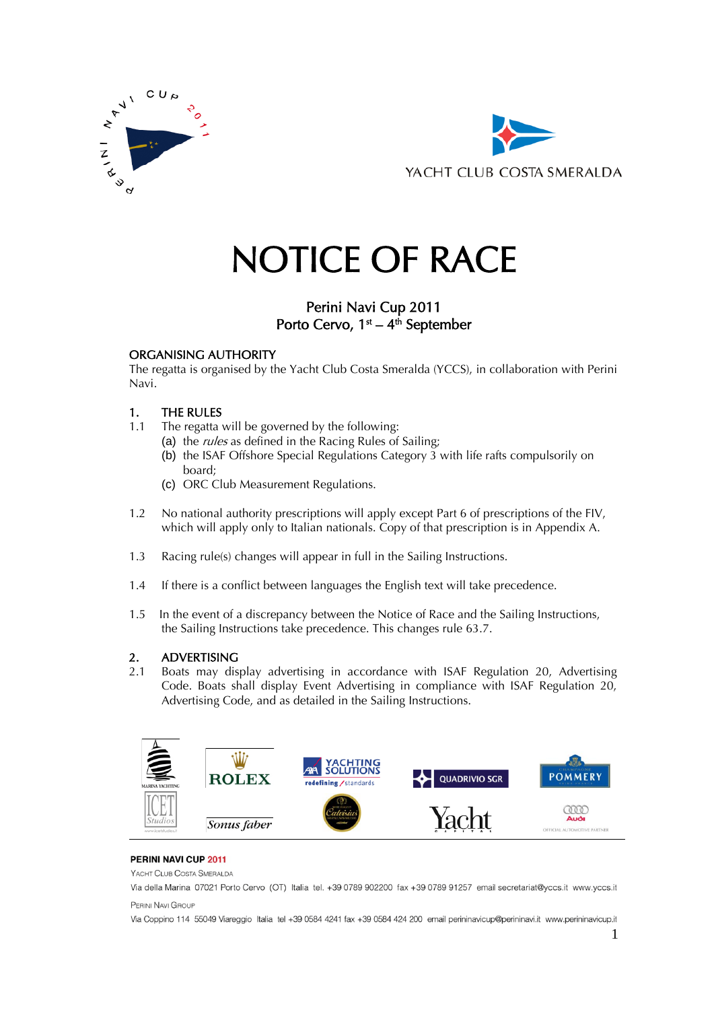



# NOTICE OF RACE

# Perini Navi Cup 2011 Porto Cervo,  $1<sup>st</sup> - 4<sup>th</sup>$  September

# ORGANISING AUTHORITY

The regatta is organised by the Yacht Club Costa Smeralda (YCCS), in collaboration with Perini Navi.

# 1. THE RULES

- 1.1 The regatta will be governed by the following:
	- (a) the *rules* as defined in the Racing Rules of Sailing;
	- (b) the ISAF Offshore Special Regulations Category 3 with life rafts compulsorily on board;
	- (c) ORC Club Measurement Regulations.
- 1.2 No national authority prescriptions will apply except Part 6 of prescriptions of the FIV, which will apply only to Italian nationals. Copy of that prescription is in Appendix A.
- 1.3 Racing rule(s) changes will appear in full in the Sailing Instructions.
- 1.4 If there is a conflict between languages the English text will take precedence.
- 1.5 In the event of a discrepancy between the Notice of Race and the Sailing Instructions, the Sailing Instructions take precedence. This changes rule 63.7.

# 2. ADVERTISING

2.1 Boats may display advertising in accordance with ISAF Regulation 20, Advertising Code. Boats shall display Event Advertising in compliance with ISAF Regulation 20, Advertising Code, and as detailed in the Sailing Instructions.



#### PERINI NAVI CUP 2011

YACHT CLUB COSTA SMERALDA

Via della Marina 07021 Porto Cervo (OT) Italia tel. +39 0789 902200 fax +39 0789 91257 email secretariat@yccs.it www.yccs.it

PERINI NAVI GROUP

Via Coppino 114 55049 Viareggio Italia tel +39 0584 4241 fax +39 0584 424 200 email perininavicup@perininavi.it www.perininavicup.it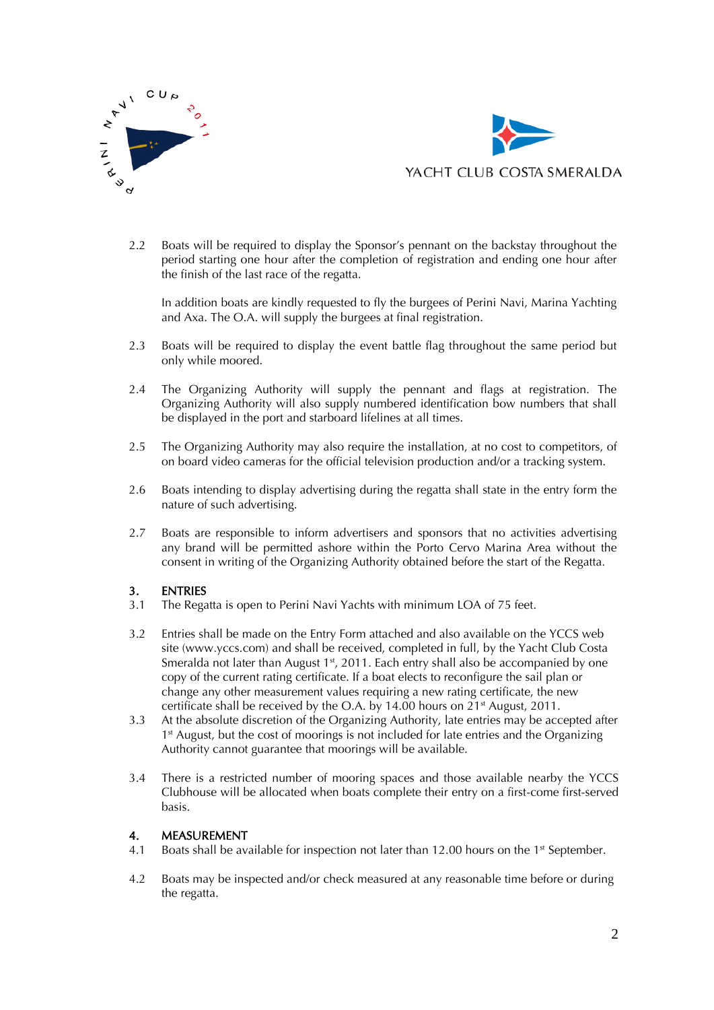



2.2 Boats will be required to display the Sponsor's pennant on the backstay throughout the period starting one hour after the completion of registration and ending one hour after the finish of the last race of the regatta.

In addition boats are kindly requested to fly the burgees of Perini Navi, Marina Yachting and Axa. The O.A. will supply the burgees at final registration.

- 2.3 Boats will be required to display the event battle flag throughout the same period but only while moored.
- 2.4 The Organizing Authority will supply the pennant and flags at registration. The Organizing Authority will also supply numbered identification bow numbers that shall be displayed in the port and starboard lifelines at all times.
- 2.5 The Organizing Authority may also require the installation, at no cost to competitors, of on board video cameras for the official television production and/or a tracking system.
- 2.6 Boats intending to display advertising during the regatta shall state in the entry form the nature of such advertising.
- 2.7 Boats are responsible to inform advertisers and sponsors that no activities advertising any brand will be permitted ashore within the Porto Cervo Marina Area without the consent in writing of the Organizing Authority obtained before the start of the Regatta.

# 3. ENTRIES

- 3.1 The Regatta is open to Perini Navi Yachts with minimum LOA of 75 feet.
- 3.2 Entries shall be made on the Entry Form attached and also available on the YCCS web site (www.yccs.com) and shall be received, completed in full, by the Yacht Club Costa Smeralda not later than August  $1<sup>st</sup>$ , 2011. Each entry shall also be accompanied by one copy of the current rating certificate. If a boat elects to reconfigure the sail plan or change any other measurement values requiring a new rating certificate, the new certificate shall be received by the O.A. by 14.00 hours on  $21<sup>st</sup>$  August, 2011.
- 3.3 At the absolute discretion of the Organizing Authority, late entries may be accepted after 1<sup>st</sup> August, but the cost of moorings is not included for late entries and the Organizing Authority cannot guarantee that moorings will be available.
- 3.4 There is a restricted number of mooring spaces and those available nearby the YCCS Clubhouse will be allocated when boats complete their entry on a first-come first-served basis.

#### 4. MEASUREMENT

- 4.1 Boats shall be available for inspection not later than 12.00 hours on the 1<sup>st</sup> September.
- 4.2 Boats may be inspected and/or check measured at any reasonable time before or during the regatta.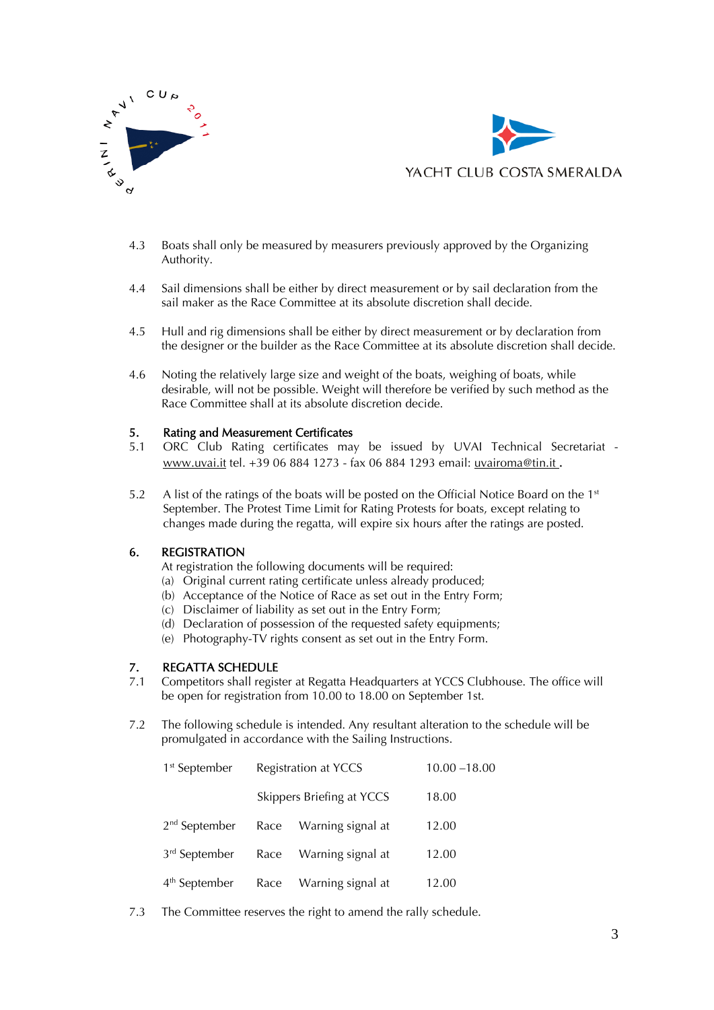



- 4.3 Boats shall only be measured by measurers previously approved by the Organizing Authority.
- 4.4 Sail dimensions shall be either by direct measurement or by sail declaration from the sail maker as the Race Committee at its absolute discretion shall decide.
- 4.5 Hull and rig dimensions shall be either by direct measurement or by declaration from the designer or the builder as the Race Committee at its absolute discretion shall decide.
- 4.6 Noting the relatively large size and weight of the boats, weighing of boats, while desirable, will not be possible. Weight will therefore be verified by such method as the Race Committee shall at its absolute discretion decide.

# 5. Rating and Measurement Certificates

- 5.1 ORC Club Rating certificates may be issued by UVAI Technical Secretariat [www.uvai.it](http://www.uvai.it/) tel. +39 06 884 1273 - fax 06 884 1293 email: [uvairoma@tin.it](mailto:uvairoma@tin.it) .
- 5.2 A list of the ratings of the boats will be posted on the Official Notice Board on the  $1<sup>st</sup>$ September. The Protest Time Limit for Rating Protests for boats, except relating to changes made during the regatta, will expire six hours after the ratings are posted.

# 6. REGISTRATION

- At registration the following documents will be required:
- (a) Original current rating certificate unless already produced;
- (b) Acceptance of the Notice of Race as set out in the Entry Form;
- (c) Disclaimer of liability as set out in the Entry Form;
- (d) Declaration of possession of the requested safety equipments;
- (e) Photography-TV rights consent as set out in the Entry Form.

# 7. REGATTA SCHEDULE

- 7.1 Competitors shall register at Regatta Headquarters at YCCS Clubhouse. The office will be open for registration from 10.00 to 18.00 on September 1st.
- 7.2 The following schedule is intended. Any resultant alteration to the schedule will be promulgated in accordance with the Sailing Instructions.

| 1 <sup>st</sup> September | Registration at YCCS      |                   | $10.00 - 18.00$ |
|---------------------------|---------------------------|-------------------|-----------------|
|                           | Skippers Briefing at YCCS |                   | 18.00           |
| 2 <sup>nd</sup> September | Race                      | Warning signal at | 12.00           |
| 3 <sup>rd</sup> September | Race                      | Warning signal at | 12.00           |
| 4 <sup>th</sup> September | Race                      | Warning signal at | 12.00           |

7.3 The Committee reserves the right to amend the rally schedule.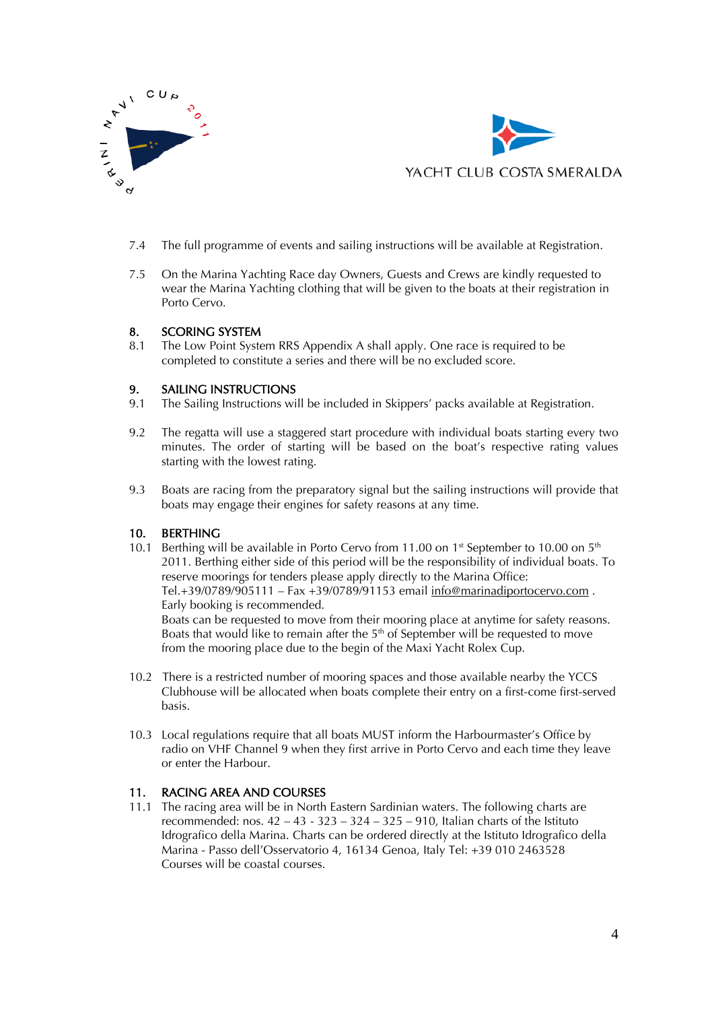



- 7.4 The full programme of events and sailing instructions will be available at Registration.
- 7.5 On the Marina Yachting Race day Owners, Guests and Crews are kindly requested to wear the Marina Yachting clothing that will be given to the boats at their registration in Porto Cervo.

### 8. SCORING SYSTEM

8.1 The Low Point System RRS Appendix A shall apply. One race is required to be completed to constitute a series and there will be no excluded score.

# 9. SAILING INSTRUCTIONS

- 9.1 The Sailing Instructions will be included in Skippers' packs available at Registration.
- 9.2 The regatta will use a staggered start procedure with individual boats starting every two minutes. The order of starting will be based on the boat's respective rating values starting with the lowest rating.
- 9.3 Boats are racing from the preparatory signal but the sailing instructions will provide that boats may engage their engines for safety reasons at any time.

#### 10. BERTHING

10.1 Berthing will be available in Porto Cervo from 11.00 on  $1<sup>st</sup>$  September to 10.00 on  $5<sup>th</sup>$ 2011. Berthing either side of this period will be the responsibility of individual boats. To reserve moorings for tenders please apply directly to the Marina Office: Tel.+39/0789/905111 – Fax +39/0789/91153 email [info@marinadiportocervo.com](mailto:info@marinadiportocervo.com). Early booking is recommended. Boats can be requested to move from their mooring place at anytime for safety reasons.

Boats that would like to remain after the  $5<sup>th</sup>$  of September will be requested to move from the mooring place due to the begin of the Maxi Yacht Rolex Cup.

- 10.2 There is a restricted number of mooring spaces and those available nearby the YCCS Clubhouse will be allocated when boats complete their entry on a first-come first-served basis.
- 10.3 Local regulations require that all boats MUST inform the Harbourmaster's Office by radio on VHF Channel 9 when they first arrive in Porto Cervo and each time they leave or enter the Harbour.

# 11. RACING AREA AND COURSES

11.1 The racing area will be in North Eastern Sardinian waters. The following charts are recommended: nos.  $42 - 43 - 323 - 324 - 325 - 910$ , Italian charts of the Istituto Idrografico della Marina. Charts can be ordered directly at the Istituto Idrografico della Marina - Passo dell'Osservatorio 4, 16134 Genoa, Italy Tel: +39 010 2463528 Courses will be coastal courses.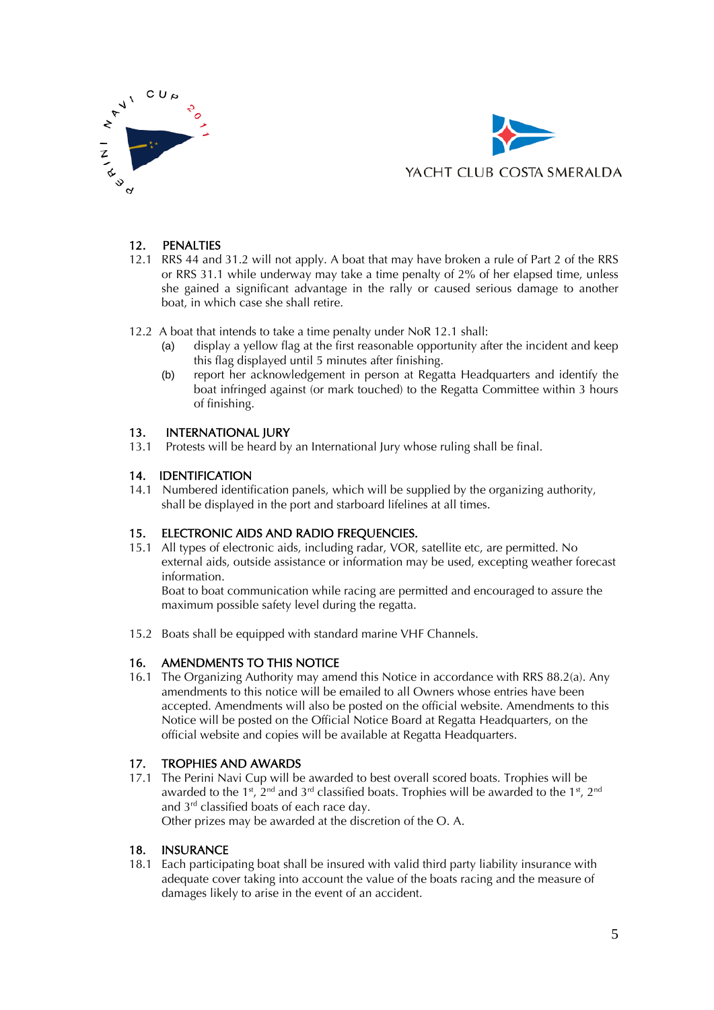



# 12. PENALTIES

- 12.1 RRS 44 and 31.2 will not apply. A boat that may have broken a rule of Part 2 of the RRS or RRS 31.1 while underway may take a time penalty of 2% of her elapsed time, unless she gained a significant advantage in the rally or caused serious damage to another boat, in which case she shall retire.
- 12.2 A boat that intends to take a time penalty under NoR 12.1 shall:
	- (a) display a yellow flag at the first reasonable opportunity after the incident and keep this flag displayed until 5 minutes after finishing.
	- (b) report her acknowledgement in person at Regatta Headquarters and identify the boat infringed against (or mark touched) to the Regatta Committee within 3 hours of finishing.

# 13. INTERNATIONAL JURY

13.1 Protests will be heard by an International Jury whose ruling shall be final.

# 14. IDENTIFICATION

14.1 Numbered identification panels, which will be supplied by the organizing authority, shall be displayed in the port and starboard lifelines at all times.

# 15. ELECTRONIC AIDS AND RADIO FREQUENCIES.

15.1 All types of electronic aids, including radar, VOR, satellite etc, are permitted. No external aids, outside assistance or information may be used, excepting weather forecast information.

Boat to boat communication while racing are permitted and encouraged to assure the maximum possible safety level during the regatta.

15.2 Boats shall be equipped with standard marine VHF Channels.

# 16. AMENDMENTS TO THIS NOTICE

16.1 The Organizing Authority may amend this Notice in accordance with RRS 88.2(a). Any amendments to this notice will be emailed to all Owners whose entries have been accepted. Amendments will also be posted on the official website. Amendments to this Notice will be posted on the Official Notice Board at Regatta Headquarters, on the official website and copies will be available at Regatta Headquarters.

# 17. TROPHIES AND AWARDS

17.1 The Perini Navi Cup will be awarded to best overall scored boats. Trophies will be awarded to the 1<sup>st</sup>, 2<sup>nd</sup> and 3<sup>rd</sup> classified boats. Trophies will be awarded to the 1<sup>st</sup>, 2<sup>nd</sup> and 3<sup>rd</sup> classified boats of each race day. Other prizes may be awarded at the discretion of the O. A.

# 18. INSURANCE

18.1 Each participating boat shall be insured with valid third party liability insurance with adequate cover taking into account the value of the boats racing and the measure of damages likely to arise in the event of an accident.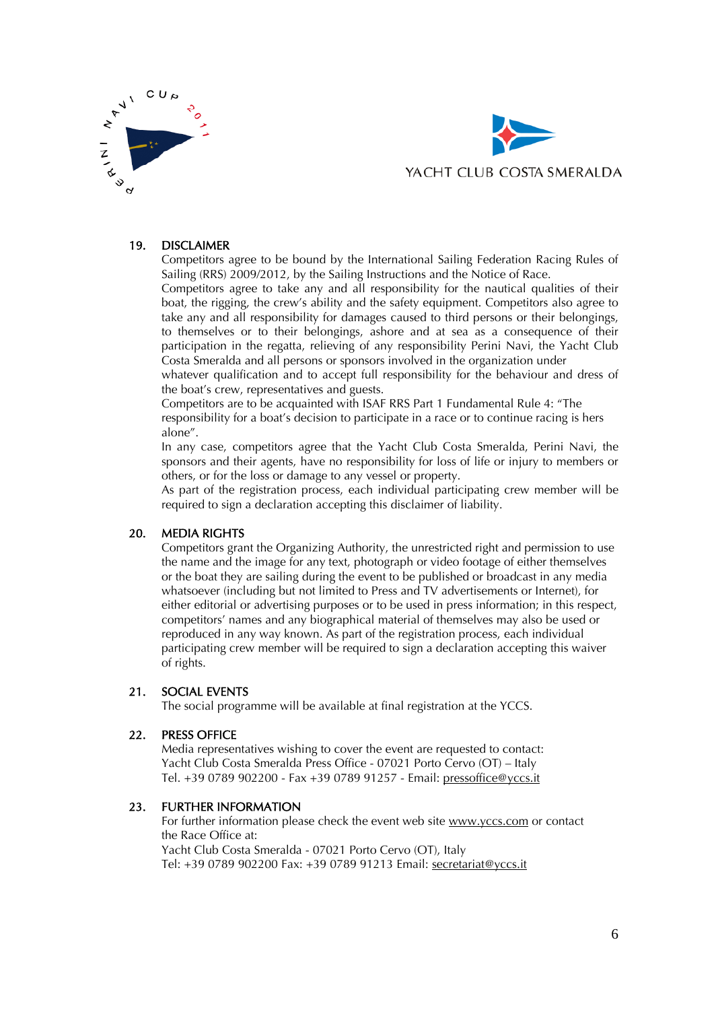



## 19. DISCLAIMER

Competitors agree to be bound by the International Sailing Federation Racing Rules of Sailing (RRS) 2009/2012, by the Sailing Instructions and the Notice of Race.

Competitors agree to take any and all responsibility for the nautical qualities of their boat, the rigging, the crew's ability and the safety equipment. Competitors also agree to take any and all responsibility for damages caused to third persons or their belongings, to themselves or to their belongings, ashore and at sea as a consequence of their participation in the regatta, relieving of any responsibility Perini Navi, the Yacht Club Costa Smeralda and all persons or sponsors involved in the organization under

whatever qualification and to accept full responsibility for the behaviour and dress of the boat's crew, representatives and guests.

Competitors are to be acquainted with ISAF RRS Part 1 Fundamental Rule 4: "The responsibility for a boat's decision to participate in a race or to continue racing is hers alone".

In any case, competitors agree that the Yacht Club Costa Smeralda, Perini Navi, the sponsors and their agents, have no responsibility for loss of life or injury to members or others, or for the loss or damage to any vessel or property.

As part of the registration process, each individual participating crew member will be required to sign a declaration accepting this disclaimer of liability.

### 20. MEDIA RIGHTS

Competitors grant the Organizing Authority, the unrestricted right and permission to use the name and the image for any text, photograph or video footage of either themselves or the boat they are sailing during the event to be published or broadcast in any media whatsoever (including but not limited to Press and TV advertisements or Internet), for either editorial or advertising purposes or to be used in press information; in this respect, competitors' names and any biographical material of themselves may also be used or reproduced in any way known. As part of the registration process, each individual participating crew member will be required to sign a declaration accepting this waiver of rights.

#### 21. SOCIAL EVENTS

The social programme will be available at final registration at the YCCS.

#### 22. PRESS OFFICE

Media representatives wishing to cover the event are requested to contact: Yacht Club Costa Smeralda Press Office - 07021 Porto Cervo (OT) – Italy Tel. +39 0789 902200 - Fax +39 0789 91257 - Email: [pressoffice@yccs.it](mailto:pressoffice@yccs.it)

#### 23. FURTHER INFORMATION

For further information please check the event web site [www.yccs.com](http://www.yccs.com/) or contact the Race Office at: Yacht Club Costa Smeralda - 07021 Porto Cervo (OT), Italy Tel: +39 0789 902200 Fax: +39 0789 91213 Email: [secretariat@yccs.it](mailto:secretariat@yccs.it)